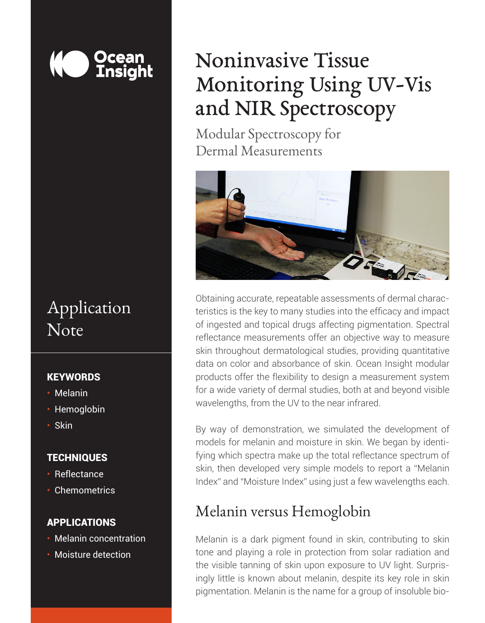#### <u>Ocean</u> **Insight**

# Application Note

#### **KEYWORDS**

- Melanin
- Hemoglobin
- Skin

#### **TECHNIQUES**

- Reflectance
- Chemometrics

#### APPLICATIONS

- Melanin concentration
- Moisture detection

# Noninvasive Tissue Monitoring Using UV-Vis and NIR Spectroscopy

Modular Spectroscopy for Dermal Measurements



Obtaining accurate, repeatable assessments of dermal characteristics is the key to many studies into the efficacy and impact of ingested and topical drugs affecting pigmentation. Spectral reflectance measurements offer an objective way to measure skin throughout dermatological studies, providing quantitative data on color and absorbance of skin. Ocean Insight modular products offer the flexibility to design a measurement system for a wide variety of dermal studies, both at and beyond visible wavelengths, from the UV to the near infrared.

By way of demonstration, we simulated the development of models for melanin and moisture in skin. We began by identifying which spectra make up the total reflectance spectrum of skin, then developed very simple models to report a "Melanin Index" and "Moisture Index" using just a few wavelengths each.

#### Melanin versus Hemoglobin

*Unlocking the Unknown with Applied Spectral Knowledge.* pigmentation. Melanin is the name for a group of insoluble bio-Melanin is a dark pigment found in skin, contributing to skin tone and playing a role in protection from solar radiation and the visible tanning of skin upon exposure to UV light. Surprisingly little is known about melanin, despite its key role in skin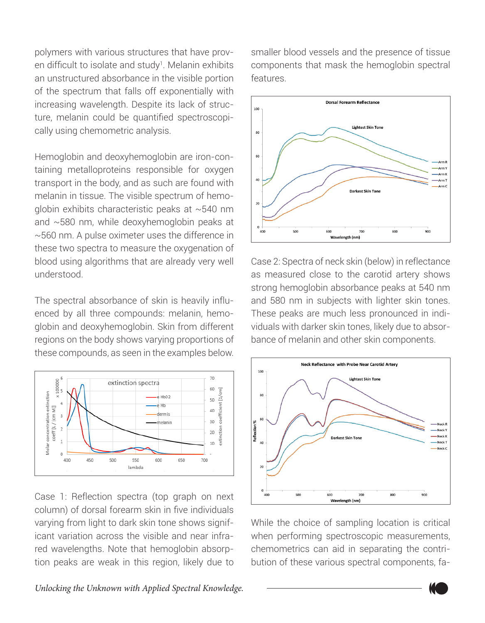polymers with various structures that have proven difficult to isolate and study<sup>1</sup>. Melanin exhibits an unstructured absorbance in the visible portion of the spectrum that falls off exponentially with increasing wavelength. Despite its lack of structure, melanin could be quantified spectroscopically using chemometric analysis.

Hemoglobin and deoxyhemoglobin are iron-containing metalloproteins responsible for oxygen transport in the body, and as such are found with melanin in tissue. The visible spectrum of hemoglobin exhibits characteristic peaks at ~540 nm and ~580 nm, while deoxyhemoglobin peaks at ~560 nm. A pulse oximeter uses the difference in these two spectra to measure the oxygenation of blood using algorithms that are already very well understood.

The spectral absorbance of skin is heavily influenced by all three compounds: melanin, hemoglobin and deoxyhemoglobin. Skin from different regions on the body shows varying proportions of these compounds, as seen in the examples below.



Case 1: Reflection spectra (top graph on next column) of dorsal forearm skin in five individuals varying from light to dark skin tone shows significant variation across the visible and near infrared wavelengths. Note that hemoglobin absorption peaks are weak in this region, likely due to smaller blood vessels and the presence of tissue components that mask the hemoglobin spectral features.



Case 2: Spectra of neck skin (below) in reflectance as measured close to the carotid artery shows strong hemoglobin absorbance peaks at 540 nm and 580 nm in subjects with lighter skin tones. These peaks are much less pronounced in individuals with darker skin tones, likely due to absorbance of melanin and other skin components.



While the choice of sampling location is critical when performing spectroscopic measurements, chemometrics can aid in separating the contribution of these various spectral components, fa-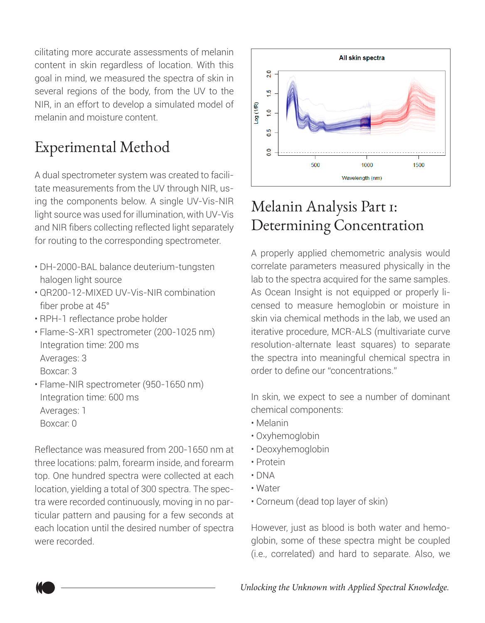cilitating more accurate assessments of melanin content in skin regardless of location. With this goal in mind, we measured the spectra of skin in several regions of the body, from the UV to the NIR, in an effort to develop a simulated model of melanin and moisture content.

## Experimental Method

A dual spectrometer system was created to facilitate measurements from the UV through NIR, using the components below. A single UV-Vis-NIR light source was used for illumination, with UV-Vis and NIR fibers collecting reflected light separately for routing to the corresponding spectrometer.

- DH-2000-BAL balance deuterium-tungsten halogen light source
- QR200-12-MIXED UV-Vis-NIR combination fiber probe at 45°
- RPH-1 reflectance probe holder
- Flame-S-XR1 spectrometer (200-1025 nm) Integration time: 200 ms Averages: 3 Boxcar: 3
- Flame-NIR spectrometer (950-1650 nm) Integration time: 600 ms Averages: 1 Boxcar: 0

Reflectance was measured from 200-1650 nm at three locations: palm, forearm inside, and forearm top. One hundred spectra were collected at each location, yielding a total of 300 spectra. The spectra were recorded continuously, moving in no particular pattern and pausing for a few seconds at each location until the desired number of spectra were recorded.



## Melanin Analysis Part 1: Determining Concentration

A properly applied chemometric analysis would correlate parameters measured physically in the lab to the spectra acquired for the same samples. As Ocean Insight is not equipped or properly licensed to measure hemoglobin or moisture in skin via chemical methods in the lab, we used an iterative procedure, MCR-ALS (multivariate curve resolution-alternate least squares) to separate the spectra into meaningful chemical spectra in order to define our "concentrations."

In skin, we expect to see a number of dominant chemical components:

- Melanin
- Oxyhemoglobin
- Deoxyhemoglobin
- Protein
- DNA
- Water
- Corneum (dead top layer of skin)

However, just as blood is both water and hemoglobin, some of these spectra might be coupled (i.e., correlated) and hard to separate. Also, we

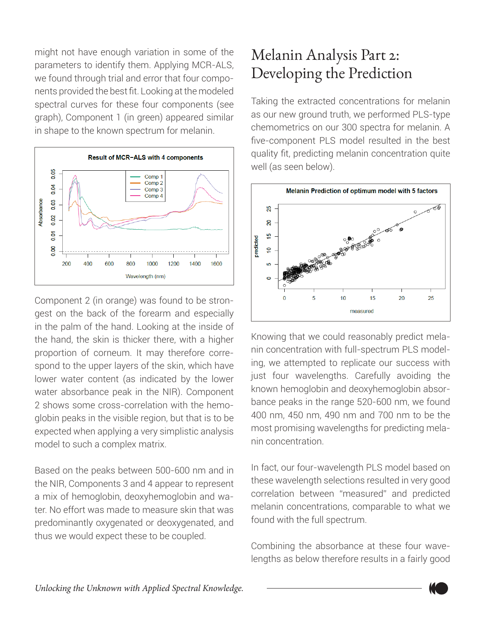might not have enough variation in some of the parameters to identify them. Applying MCR-ALS, we found through trial and error that four components provided the best fit. Looking at the modeled spectral curves for these four components (see graph), Component 1 (in green) appeared similar in shape to the known spectrum for melanin.



Component 2 (in orange) was found to be strongest on the back of the forearm and especially in the palm of the hand. Looking at the inside of the hand, the skin is thicker there, with a higher proportion of corneum. It may therefore correspond to the upper layers of the skin, which have lower water content (as indicated by the lower water absorbance peak in the NIR). Component 2 shows some cross-correlation with the hemoglobin peaks in the visible region, but that is to be expected when applying a very simplistic analysis model to such a complex matrix.

Based on the peaks between 500-600 nm and in the NIR, Components 3 and 4 appear to represent a mix of hemoglobin, deoxyhemoglobin and water. No effort was made to measure skin that was predominantly oxygenated or deoxygenated, and thus we would expect these to be coupled.

## Melanin Analysis Part 2: Developing the Prediction

Taking the extracted concentrations for melanin as our new ground truth, we performed PLS-type chemometrics on our 300 spectra for melanin. A five-component PLS model resulted in the best quality fit, predicting melanin concentration quite well (as seen below).



Knowing that we could reasonably predict melanin concentration with full-spectrum PLS modeling, we attempted to replicate our success with just four wavelengths. Carefully avoiding the known hemoglobin and deoxyhemoglobin absorbance peaks in the range 520-600 nm, we found 400 nm, 450 nm, 490 nm and 700 nm to be the most promising wavelengths for predicting melanin concentration.

In fact, our four-wavelength PLS model based on these wavelength selections resulted in very good correlation between "measured" and predicted melanin concentrations, comparable to what we found with the full spectrum.

Combining the absorbance at these four wavelengths as below therefore results in a fairly good